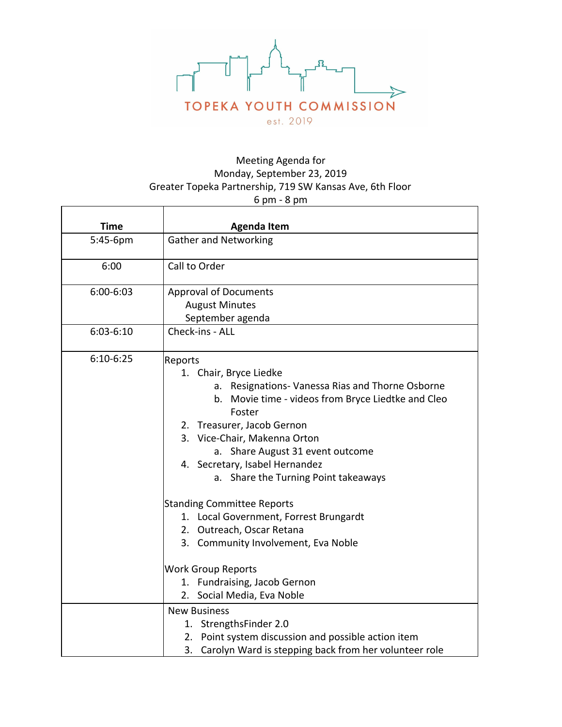

## Meeting Agenda for Monday, September 23, 2019 Greater Topeka Partnership, 719 SW Kansas Ave, 6th Floor 6 pm - 8 pm

 $\overline{1}$ 

| יייש יייש ט |                                                                                                                                                                                                                                                                                                                                                                                                                                                                                     |
|-------------|-------------------------------------------------------------------------------------------------------------------------------------------------------------------------------------------------------------------------------------------------------------------------------------------------------------------------------------------------------------------------------------------------------------------------------------------------------------------------------------|
| <b>Time</b> | <b>Agenda Item</b>                                                                                                                                                                                                                                                                                                                                                                                                                                                                  |
| 5:45-6pm    | <b>Gather and Networking</b>                                                                                                                                                                                                                                                                                                                                                                                                                                                        |
| 6:00        | Call to Order                                                                                                                                                                                                                                                                                                                                                                                                                                                                       |
| 6:00-6:03   | <b>Approval of Documents</b><br><b>August Minutes</b><br>September agenda                                                                                                                                                                                                                                                                                                                                                                                                           |
| $6:03-6:10$ | Check-ins - ALL                                                                                                                                                                                                                                                                                                                                                                                                                                                                     |
| $6:10-6:25$ | Reports<br>1. Chair, Bryce Liedke<br>a. Resignations-Vanessa Rias and Thorne Osborne<br>b. Movie time - videos from Bryce Liedtke and Cleo<br>Foster<br>2. Treasurer, Jacob Gernon<br>3. Vice-Chair, Makenna Orton<br>a. Share August 31 event outcome<br>4. Secretary, Isabel Hernandez<br>a. Share the Turning Point takeaways<br><b>Standing Committee Reports</b><br>1. Local Government, Forrest Brungardt<br>2. Outreach, Oscar Retana<br>3. Community Involvement, Eva Noble |
|             | <b>Work Group Reports</b><br>1. Fundraising, Jacob Gernon                                                                                                                                                                                                                                                                                                                                                                                                                           |
|             | 2. Social Media, Eva Noble<br><b>New Business</b><br>1. StrengthsFinder 2.0<br>2. Point system discussion and possible action item                                                                                                                                                                                                                                                                                                                                                  |
|             | 3. Carolyn Ward is stepping back from her volunteer role                                                                                                                                                                                                                                                                                                                                                                                                                            |